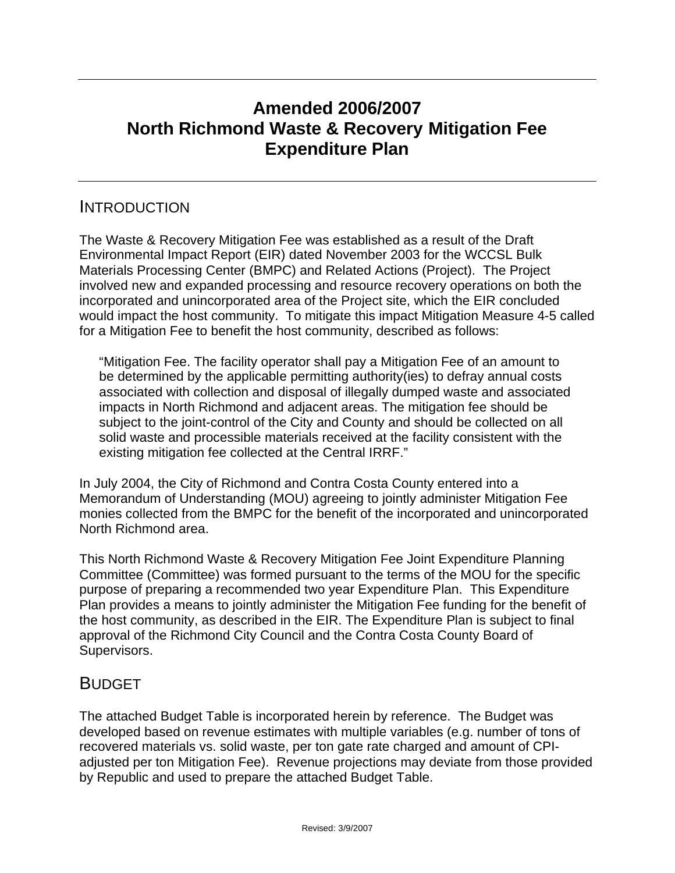# **Amended 2006/2007 North Richmond Waste & Recovery Mitigation Fee Expenditure Plan**

## INTRODUCTION

The Waste & Recovery Mitigation Fee was established as a result of the Draft Environmental Impact Report (EIR) dated November 2003 for the WCCSL Bulk Materials Processing Center (BMPC) and Related Actions (Project). The Project involved new and expanded processing and resource recovery operations on both the incorporated and unincorporated area of the Project site, which the EIR concluded would impact the host community. To mitigate this impact Mitigation Measure 4-5 called for a Mitigation Fee to benefit the host community, described as follows:

"Mitigation Fee. The facility operator shall pay a Mitigation Fee of an amount to be determined by the applicable permitting authority(ies) to defray annual costs associated with collection and disposal of illegally dumped waste and associated impacts in North Richmond and adjacent areas. The mitigation fee should be subject to the joint-control of the City and County and should be collected on all solid waste and processible materials received at the facility consistent with the existing mitigation fee collected at the Central IRRF."

In July 2004, the City of Richmond and Contra Costa County entered into a Memorandum of Understanding (MOU) agreeing to jointly administer Mitigation Fee monies collected from the BMPC for the benefit of the incorporated and unincorporated North Richmond area.

This North Richmond Waste & Recovery Mitigation Fee Joint Expenditure Planning Committee (Committee) was formed pursuant to the terms of the MOU for the specific purpose of preparing a recommended two year Expenditure Plan. This Expenditure Plan provides a means to jointly administer the Mitigation Fee funding for the benefit of the host community, as described in the EIR. The Expenditure Plan is subject to final approval of the Richmond City Council and the Contra Costa County Board of Supervisors.

# BUDGET

The attached Budget Table is incorporated herein by reference. The Budget was developed based on revenue estimates with multiple variables (e.g. number of tons of recovered materials vs. solid waste, per ton gate rate charged and amount of CPIadjusted per ton Mitigation Fee). Revenue projections may deviate from those provided by Republic and used to prepare the attached Budget Table.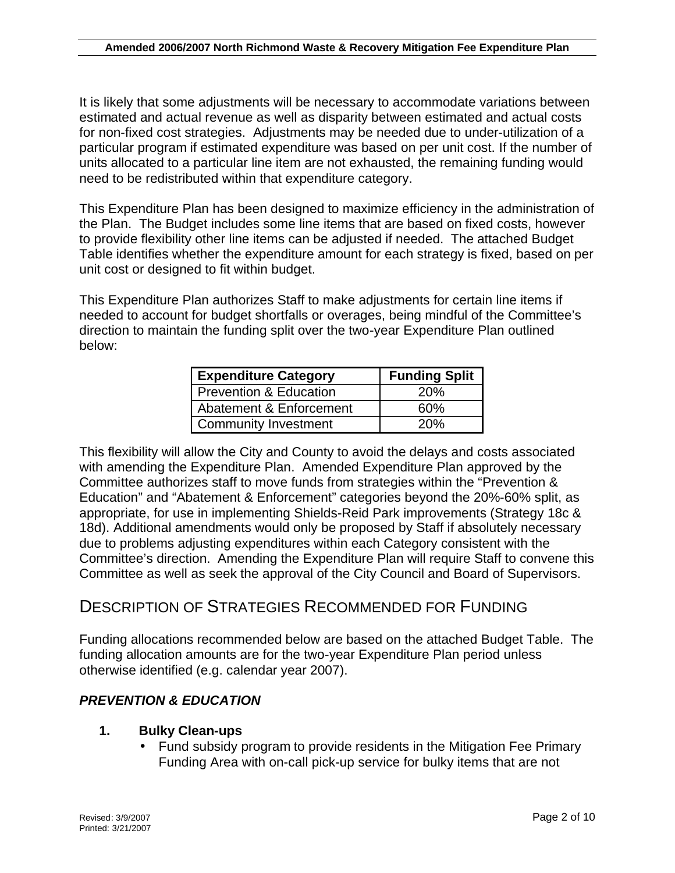It is likely that some adjustments will be necessary to accommodate variations between estimated and actual revenue as well as disparity between estimated and actual costs for non-fixed cost strategies. Adjustments may be needed due to under-utilization of a particular program if estimated expenditure was based on per unit cost. If the number of units allocated to a particular line item are not exhausted, the remaining funding would need to be redistributed within that expenditure category.

This Expenditure Plan has been designed to maximize efficiency in the administration of the Plan. The Budget includes some line items that are based on fixed costs, however to provide flexibility other line items can be adjusted if needed. The attached Budget Table identifies whether the expenditure amount for each strategy is fixed, based on per unit cost or designed to fit within budget.

This Expenditure Plan authorizes Staff to make adjustments for certain line items if needed to account for budget shortfalls or overages, being mindful of the Committee's direction to maintain the funding split over the two-year Expenditure Plan outlined below:

| <b>Expenditure Category</b> | <b>Funding Split</b> |
|-----------------------------|----------------------|
| Prevention & Education      | 20%                  |
| Abatement & Enforcement     | 60%                  |
| <b>Community Investment</b> | 20%                  |

This flexibility will allow the City and County to avoid the delays and costs associated with amending the Expenditure Plan. Amended Expenditure Plan approved by the Committee authorizes staff to move funds from strategies within the "Prevention & Education" and "Abatement & Enforcement" categories beyond the 20%-60% split, as appropriate, for use in implementing Shields-Reid Park improvements (Strategy 18c & 18d). Additional amendments would only be proposed by Staff if absolutely necessary due to problems adjusting expenditures within each Category consistent with the Committee's direction. Amending the Expenditure Plan will require Staff to convene this Committee as well as seek the approval of the City Council and Board of Supervisors.

# DESCRIPTION OF STRATEGIES RECOMMENDED FOR FUNDING

Funding allocations recommended below are based on the attached Budget Table. The funding allocation amounts are for the two-year Expenditure Plan period unless otherwise identified (e.g. calendar year 2007).

## *PREVENTION & EDUCATION*

#### **1. Bulky Clean-ups**

• Fund subsidy program to provide residents in the Mitigation Fee Primary Funding Area with on-call pick-up service for bulky items that are not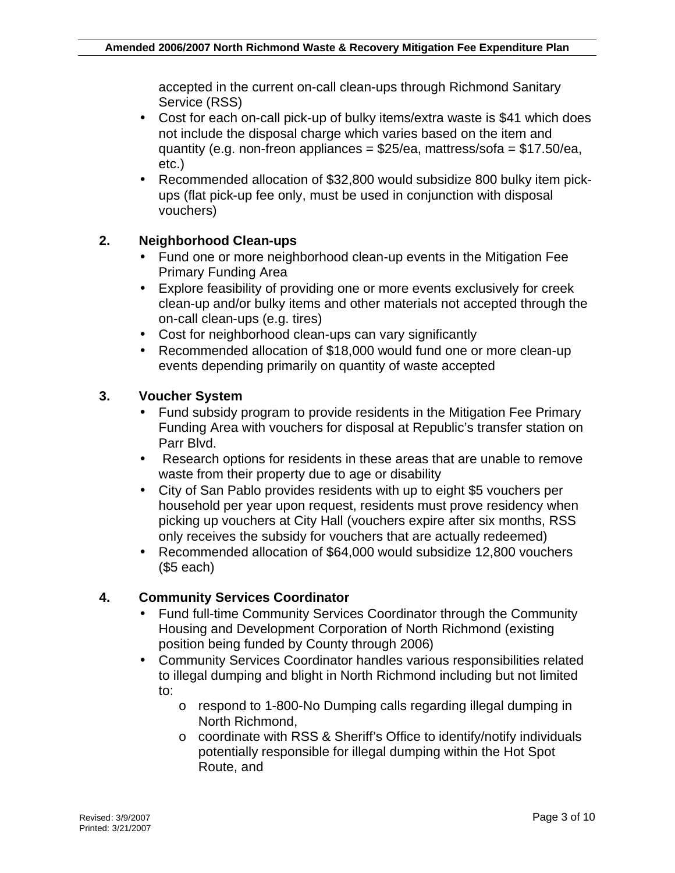accepted in the current on-call clean-ups through Richmond Sanitary Service (RSS)

- Cost for each on-call pick-up of bulky items/extra waste is \$41 which does not include the disposal charge which varies based on the item and quantity (e.g. non-freon appliances =  $$25/ea$ , mattress/sofa =  $$17.50/ea$ , etc.)
- Recommended allocation of \$32,800 would subsidize 800 bulky item pickups (flat pick-up fee only, must be used in conjunction with disposal vouchers)

### **2. Neighborhood Clean-ups**

- Fund one or more neighborhood clean-up events in the Mitigation Fee Primary Funding Area
- Explore feasibility of providing one or more events exclusively for creek clean-up and/or bulky items and other materials not accepted through the on-call clean-ups (e.g. tires)
- Cost for neighborhood clean-ups can vary significantly
- Recommended allocation of \$18,000 would fund one or more clean-up events depending primarily on quantity of waste accepted

### **3. Voucher System**

- Fund subsidy program to provide residents in the Mitigation Fee Primary Funding Area with vouchers for disposal at Republic's transfer station on Parr Blvd.
- Research options for residents in these areas that are unable to remove waste from their property due to age or disability
- City of San Pablo provides residents with up to eight \$5 vouchers per household per year upon request, residents must prove residency when picking up vouchers at City Hall (vouchers expire after six months, RSS only receives the subsidy for vouchers that are actually redeemed)
- Recommended allocation of \$64,000 would subsidize 12,800 vouchers (\$5 each)

## **4. Community Services Coordinator**

- Fund full-time Community Services Coordinator through the Community Housing and Development Corporation of North Richmond (existing position being funded by County through 2006)
- Community Services Coordinator handles various responsibilities related to illegal dumping and blight in North Richmond including but not limited to:
	- o respond to 1-800-No Dumping calls regarding illegal dumping in North Richmond,
	- o coordinate with RSS & Sheriff's Office to identify/notify individuals potentially responsible for illegal dumping within the Hot Spot Route, and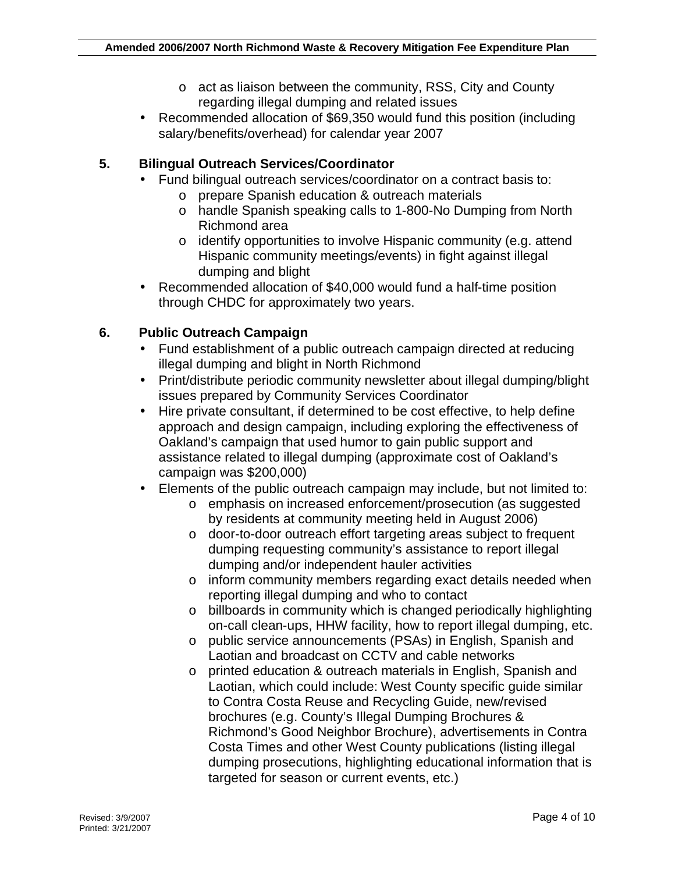- o act as liaison between the community, RSS, City and County regarding illegal dumping and related issues
- Recommended allocation of \$69,350 would fund this position (including salary/benefits/overhead) for calendar year 2007

#### **5. Bilingual Outreach Services/Coordinator**

- Fund bilingual outreach services/coordinator on a contract basis to:
	- o prepare Spanish education & outreach materials
	- o handle Spanish speaking calls to 1-800-No Dumping from North Richmond area
	- o identify opportunities to involve Hispanic community (e.g. attend Hispanic community meetings/events) in fight against illegal dumping and blight
- Recommended allocation of \$40,000 would fund a half-time position through CHDC for approximately two years.

### **6. Public Outreach Campaign**

- Fund establishment of a public outreach campaign directed at reducing illegal dumping and blight in North Richmond
- Print/distribute periodic community newsletter about illegal dumping/blight issues prepared by Community Services Coordinator
- Hire private consultant, if determined to be cost effective, to help define approach and design campaign, including exploring the effectiveness of Oakland's campaign that used humor to gain public support and assistance related to illegal dumping (approximate cost of Oakland's campaign was \$200,000)
- Elements of the public outreach campaign may include, but not limited to:
	- o emphasis on increased enforcement/prosecution (as suggested by residents at community meeting held in August 2006)
	- o door-to-door outreach effort targeting areas subject to frequent dumping requesting community's assistance to report illegal dumping and/or independent hauler activities
	- o inform community members regarding exact details needed when reporting illegal dumping and who to contact
	- o billboards in community which is changed periodically highlighting on-call clean-ups, HHW facility, how to report illegal dumping, etc.
	- o public service announcements (PSAs) in English, Spanish and Laotian and broadcast on CCTV and cable networks
	- o printed education & outreach materials in English, Spanish and Laotian, which could include: West County specific guide similar to Contra Costa Reuse and Recycling Guide, new/revised brochures (e.g. County's Illegal Dumping Brochures & Richmond's Good Neighbor Brochure), advertisements in Contra Costa Times and other West County publications (listing illegal dumping prosecutions, highlighting educational information that is targeted for season or current events, etc.)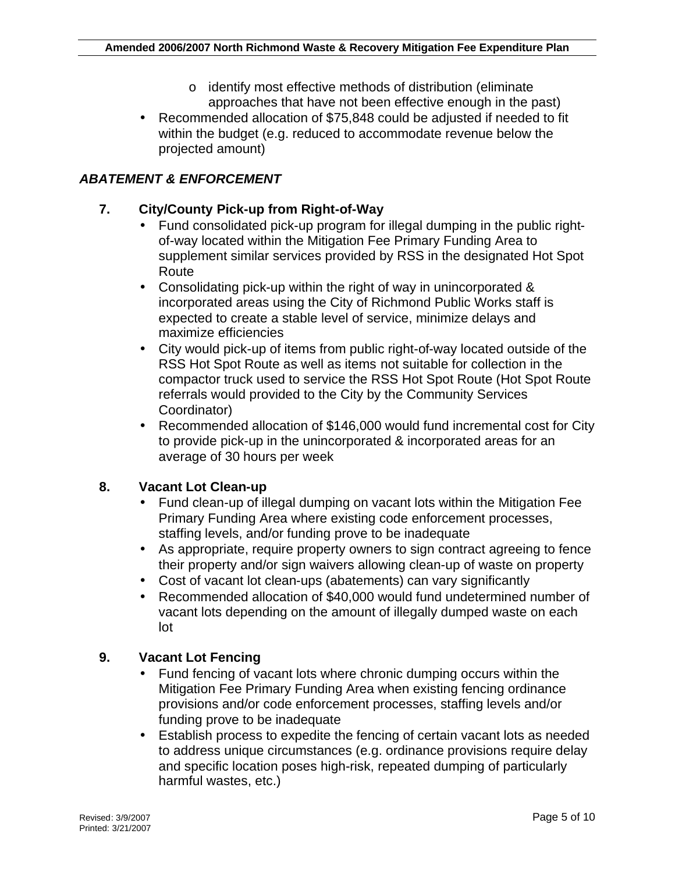- o identify most effective methods of distribution (eliminate approaches that have not been effective enough in the past)
- Recommended allocation of \$75,848 could be adjusted if needed to fit within the budget (e.g. reduced to accommodate revenue below the projected amount)

## *ABATEMENT & ENFORCEMENT*

### **7. City/County Pick-up from Right-of-Way**

- Fund consolidated pick-up program for illegal dumping in the public rightof-way located within the Mitigation Fee Primary Funding Area to supplement similar services provided by RSS in the designated Hot Spot Route
- Consolidating pick-up within the right of way in unincorporated & incorporated areas using the City of Richmond Public Works staff is expected to create a stable level of service, minimize delays and maximize efficiencies
- City would pick-up of items from public right-of-way located outside of the RSS Hot Spot Route as well as items not suitable for collection in the compactor truck used to service the RSS Hot Spot Route (Hot Spot Route referrals would provided to the City by the Community Services Coordinator)
- Recommended allocation of \$146,000 would fund incremental cost for City to provide pick-up in the unincorporated & incorporated areas for an average of 30 hours per week

#### **8. Vacant Lot Clean-up**

- Fund clean-up of illegal dumping on vacant lots within the Mitigation Fee Primary Funding Area where existing code enforcement processes, staffing levels, and/or funding prove to be inadequate
- As appropriate, require property owners to sign contract agreeing to fence their property and/or sign waivers allowing clean-up of waste on property
- Cost of vacant lot clean-ups (abatements) can vary significantly
- Recommended allocation of \$40,000 would fund undetermined number of vacant lots depending on the amount of illegally dumped waste on each lot

#### **9. Vacant Lot Fencing**

- Fund fencing of vacant lots where chronic dumping occurs within the Mitigation Fee Primary Funding Area when existing fencing ordinance provisions and/or code enforcement processes, staffing levels and/or funding prove to be inadequate
- Establish process to expedite the fencing of certain vacant lots as needed to address unique circumstances (e.g. ordinance provisions require delay and specific location poses high-risk, repeated dumping of particularly harmful wastes, etc.)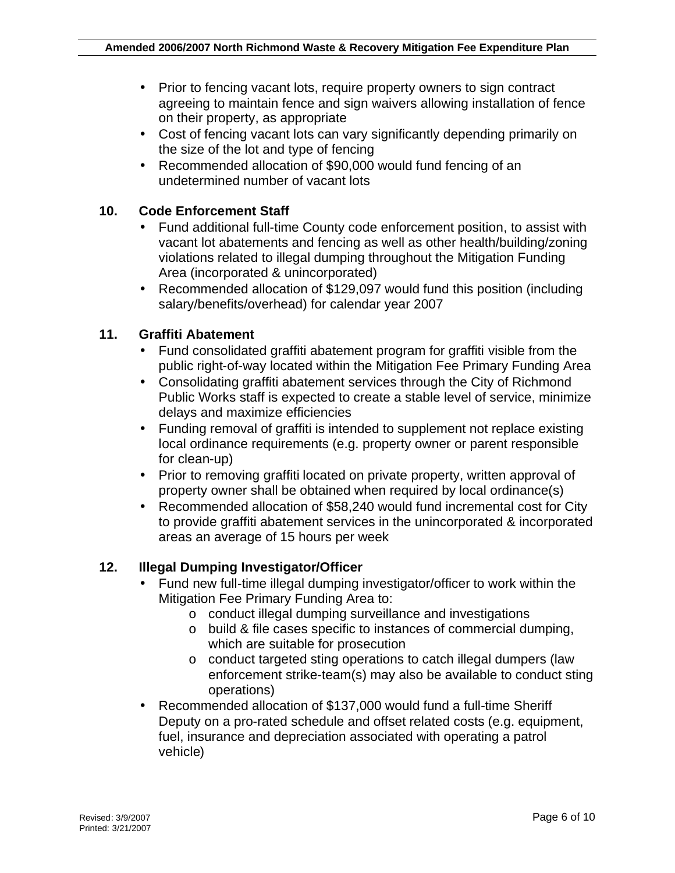- Prior to fencing vacant lots, require property owners to sign contract agreeing to maintain fence and sign waivers allowing installation of fence on their property, as appropriate
- Cost of fencing vacant lots can vary significantly depending primarily on the size of the lot and type of fencing
- Recommended allocation of \$90,000 would fund fencing of an undetermined number of vacant lots

#### **10. Code Enforcement Staff**

- Fund additional full-time County code enforcement position, to assist with vacant lot abatements and fencing as well as other health/building/zoning violations related to illegal dumping throughout the Mitigation Funding Area (incorporated & unincorporated)
- Recommended allocation of \$129,097 would fund this position (including salary/benefits/overhead) for calendar year 2007

### **11. Graffiti Abatement**

- Fund consolidated graffiti abatement program for graffiti visible from the public right-of-way located within the Mitigation Fee Primary Funding Area
- Consolidating graffiti abatement services through the City of Richmond Public Works staff is expected to create a stable level of service, minimize delays and maximize efficiencies
- Funding removal of graffiti is intended to supplement not replace existing local ordinance requirements (e.g. property owner or parent responsible for clean-up)
- Prior to removing graffiti located on private property, written approval of property owner shall be obtained when required by local ordinance(s)
- Recommended allocation of \$58,240 would fund incremental cost for City to provide graffiti abatement services in the unincorporated & incorporated areas an average of 15 hours per week

#### **12. Illegal Dumping Investigator/Officer**

- Fund new full-time illegal dumping investigator/officer to work within the Mitigation Fee Primary Funding Area to:
	- o conduct illegal dumping surveillance and investigations
	- o build & file cases specific to instances of commercial dumping, which are suitable for prosecution
	- o conduct targeted sting operations to catch illegal dumpers (law enforcement strike-team(s) may also be available to conduct sting operations)
- Recommended allocation of \$137,000 would fund a full-time Sheriff Deputy on a pro-rated schedule and offset related costs (e.g. equipment, fuel, insurance and depreciation associated with operating a patrol vehicle)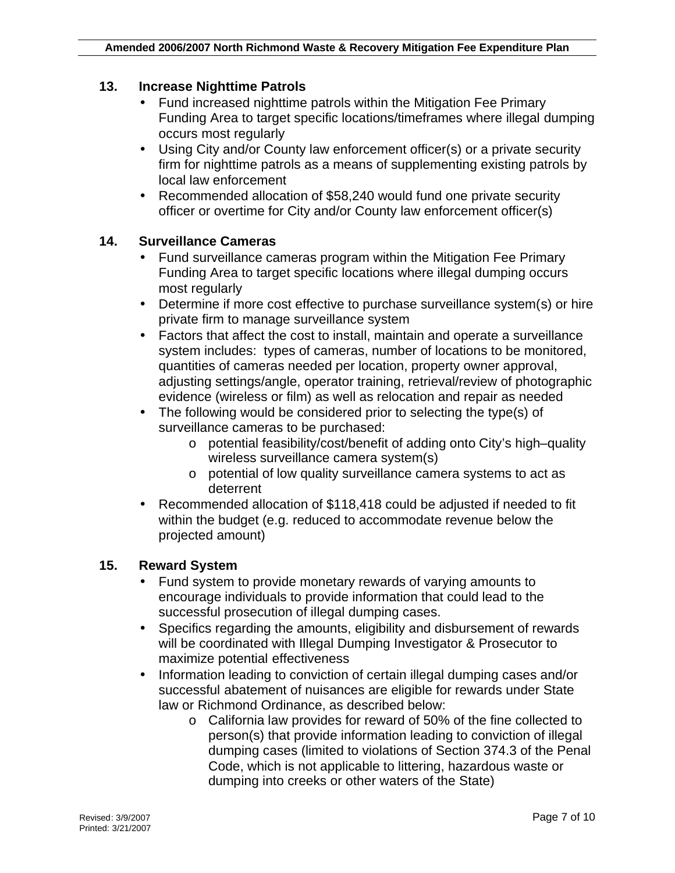#### **13. Increase Nighttime Patrols**

- Fund increased nighttime patrols within the Mitigation Fee Primary Funding Area to target specific locations/timeframes where illegal dumping occurs most regularly
- Using City and/or County law enforcement officer(s) or a private security firm for nighttime patrols as a means of supplementing existing patrols by local law enforcement
- Recommended allocation of \$58,240 would fund one private security officer or overtime for City and/or County law enforcement officer(s)

#### **14. Surveillance Cameras**

- Fund surveillance cameras program within the Mitigation Fee Primary Funding Area to target specific locations where illegal dumping occurs most regularly
- Determine if more cost effective to purchase surveillance system(s) or hire private firm to manage surveillance system
- Factors that affect the cost to install, maintain and operate a surveillance system includes: types of cameras, number of locations to be monitored, quantities of cameras needed per location, property owner approval, adjusting settings/angle, operator training, retrieval/review of photographic evidence (wireless or film) as well as relocation and repair as needed
- The following would be considered prior to selecting the type(s) of surveillance cameras to be purchased:
	- o potential feasibility/cost/benefit of adding onto City's high–quality wireless surveillance camera system(s)
	- o potential of low quality surveillance camera systems to act as deterrent
- Recommended allocation of \$118,418 could be adjusted if needed to fit within the budget (e.g. reduced to accommodate revenue below the projected amount)

#### **15. Reward System**

- Fund system to provide monetary rewards of varying amounts to encourage individuals to provide information that could lead to the successful prosecution of illegal dumping cases.
- Specifics regarding the amounts, eligibility and disbursement of rewards will be coordinated with Illegal Dumping Investigator & Prosecutor to maximize potential effectiveness
- Information leading to conviction of certain illegal dumping cases and/or successful abatement of nuisances are eligible for rewards under State law or Richmond Ordinance, as described below:
	- o California law provides for reward of 50% of the fine collected to person(s) that provide information leading to conviction of illegal dumping cases (limited to violations of Section 374.3 of the Penal Code, which is not applicable to littering, hazardous waste or dumping into creeks or other waters of the State)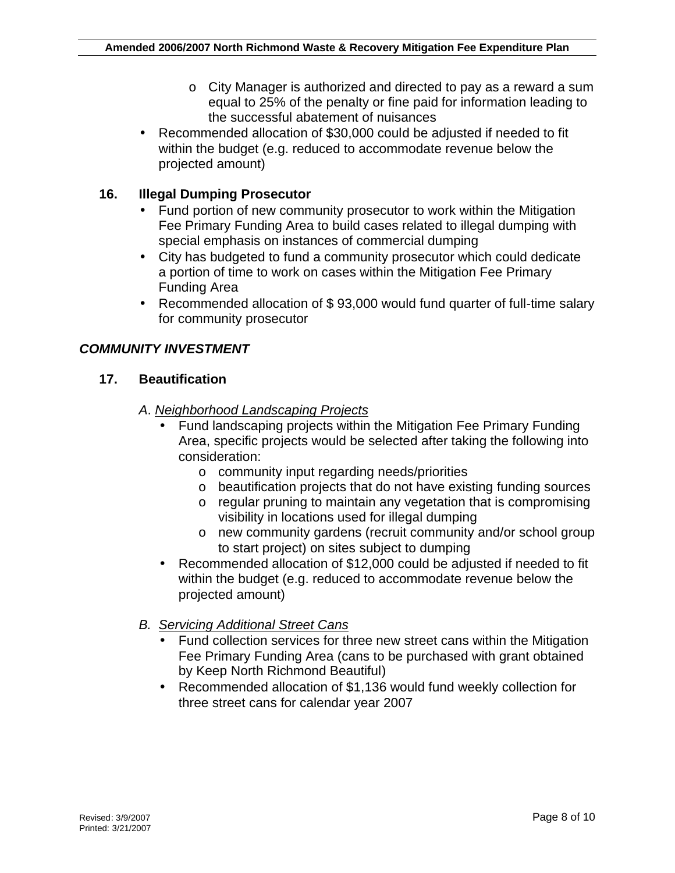- o City Manager is authorized and directed to pay as a reward a sum equal to 25% of the penalty or fine paid for information leading to the successful abatement of nuisances
- Recommended allocation of \$30,000 could be adjusted if needed to fit within the budget (e.g. reduced to accommodate revenue below the projected amount)

## **16. Illegal Dumping Prosecutor**

- Fund portion of new community prosecutor to work within the Mitigation Fee Primary Funding Area to build cases related to illegal dumping with special emphasis on instances of commercial dumping
- City has budgeted to fund a community prosecutor which could dedicate a portion of time to work on cases within the Mitigation Fee Primary Funding Area
- Recommended allocation of \$ 93,000 would fund quarter of full-time salary for community prosecutor

#### *COMMUNITY INVESTMENT*

#### **17. Beautification**

#### *A*. *Neighborhood Landscaping Projects*

- Fund landscaping projects within the Mitigation Fee Primary Funding Area, specific projects would be selected after taking the following into consideration:
	- o community input regarding needs/priorities
	- o beautification projects that do not have existing funding sources
	- o regular pruning to maintain any vegetation that is compromising visibility in locations used for illegal dumping
	- o new community gardens (recruit community and/or school group to start project) on sites subject to dumping
- Recommended allocation of \$12,000 could be adjusted if needed to fit within the budget (e.g. reduced to accommodate revenue below the projected amount)
- *B. Servicing Additional Street Cans*
	- Fund collection services for three new street cans within the Mitigation Fee Primary Funding Area (cans to be purchased with grant obtained by Keep North Richmond Beautiful)
	- Recommended allocation of \$1,136 would fund weekly collection for three street cans for calendar year 2007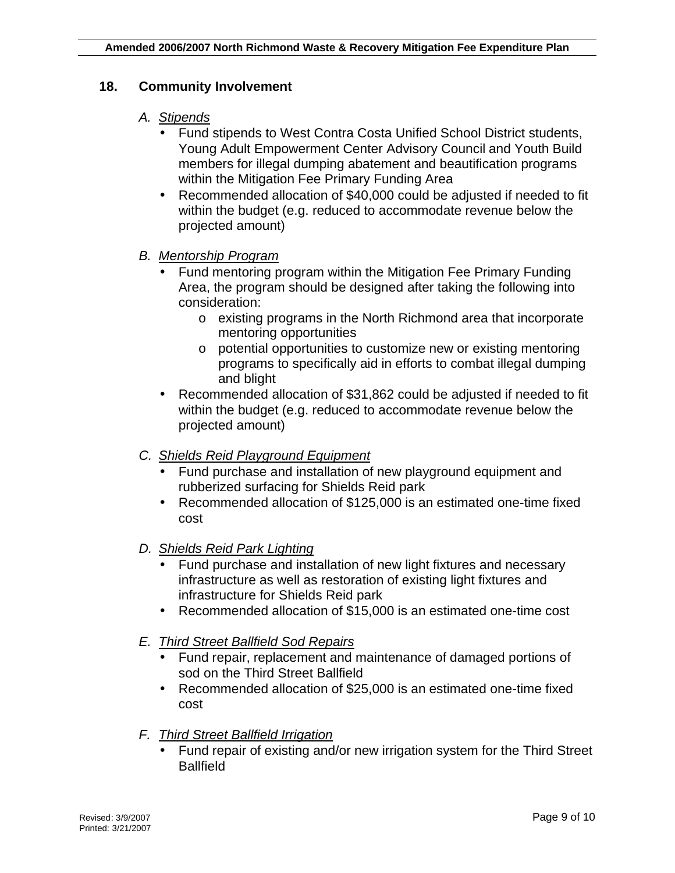#### **18. Community Involvement**

#### *A. Stipends*

- Fund stipends to West Contra Costa Unified School District students, Young Adult Empowerment Center Advisory Council and Youth Build members for illegal dumping abatement and beautification programs within the Mitigation Fee Primary Funding Area
- Recommended allocation of \$40,000 could be adjusted if needed to fit within the budget (e.g. reduced to accommodate revenue below the projected amount)

#### *B. Mentorship Program*

- Fund mentoring program within the Mitigation Fee Primary Funding Area, the program should be designed after taking the following into consideration:
	- o existing programs in the North Richmond area that incorporate mentoring opportunities
	- o potential opportunities to customize new or existing mentoring programs to specifically aid in efforts to combat illegal dumping and blight
- Recommended allocation of \$31,862 could be adjusted if needed to fit within the budget (e.g. reduced to accommodate revenue below the projected amount)
- *C. Shields Reid Playground Equipment*
	- Fund purchase and installation of new playground equipment and rubberized surfacing for Shields Reid park
	- Recommended allocation of \$125,000 is an estimated one-time fixed cost
- *D. Shields Reid Park Lighting*
	- Fund purchase and installation of new light fixtures and necessary infrastructure as well as restoration of existing light fixtures and infrastructure for Shields Reid park
	- Recommended allocation of \$15,000 is an estimated one-time cost
- *E. Third Street Ballfield Sod Repairs*
	- Fund repair, replacement and maintenance of damaged portions of sod on the Third Street Ballfield
	- Recommended allocation of \$25,000 is an estimated one-time fixed cost

#### *F. Third Street Ballfield Irrigation*

• Fund repair of existing and/or new irrigation system for the Third Street **Ballfield**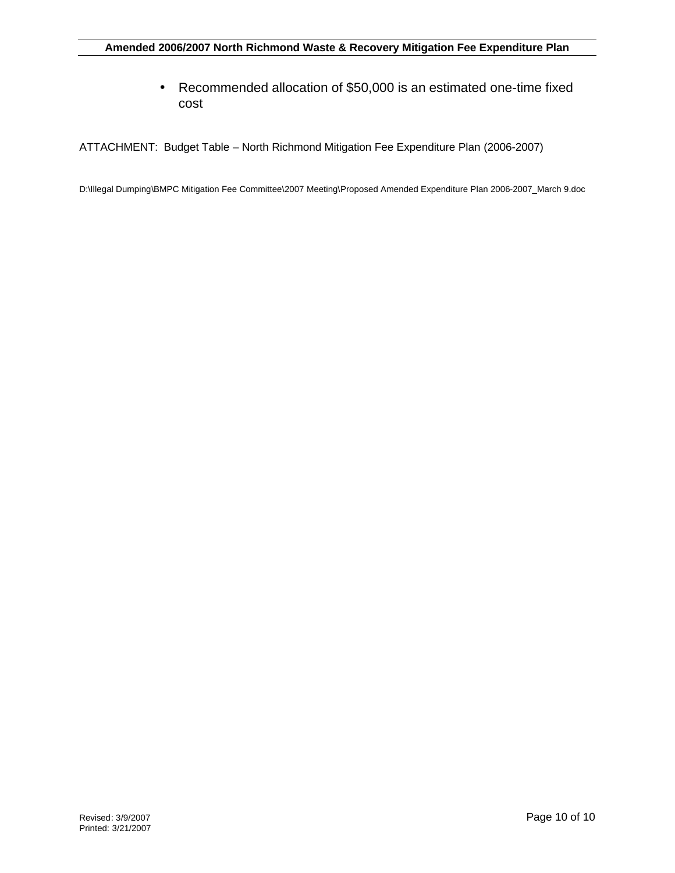• Recommended allocation of \$50,000 is an estimated one-time fixed cost

ATTACHMENT: Budget Table – North Richmond Mitigation Fee Expenditure Plan (2006-2007)

D:\Illegal Dumping\BMPC Mitigation Fee Committee\2007 Meeting\Proposed Amended Expenditure Plan 2006-2007\_March 9.doc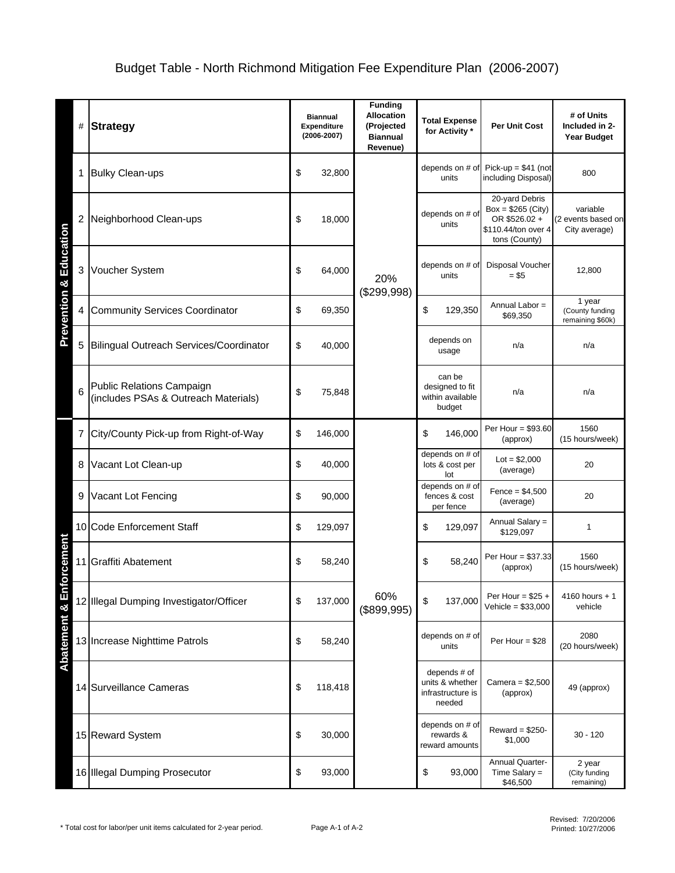| #                                      | <b>Strategy</b>                                                   | <b>Biannual</b><br>Expenditure<br>$(2006 - 2007)$ |         | <b>Funding</b><br><b>Allocation</b><br>(Projected<br><b>Biannual</b><br>Revenue) | <b>Total Expense</b><br>for Activity *                         | <b>Per Unit Cost</b>                                                                           | # of Units<br>Included in 2-<br><b>Year Budget</b>      |        |
|----------------------------------------|-------------------------------------------------------------------|---------------------------------------------------|---------|----------------------------------------------------------------------------------|----------------------------------------------------------------|------------------------------------------------------------------------------------------------|---------------------------------------------------------|--------|
| 1                                      | <b>Bulky Clean-ups</b>                                            | \$                                                | 32,800  | 20%<br>(\$299,998)                                                               | depends on # of<br>units                                       | Pick-up = $$41$ (not<br>including Disposal)                                                    | 800                                                     |        |
| 2                                      | Neighborhood Clean-ups                                            | \$                                                | 18,000  |                                                                                  | depends on # of<br>units                                       | 20-yard Debris<br>Box = $$265$ (City)<br>OR \$526.02 +<br>\$110.44/ton over 4<br>tons (County) | variable<br>(2 events based on<br>City average)         |        |
| <b>Prevention &amp; Education</b><br>3 | Voucher System                                                    | \$                                                | 64,000  |                                                                                  |                                                                | depends on # of<br>units                                                                       | <b>Disposal Voucher</b><br>$= $5$                       | 12,800 |
| 4                                      | <b>Community Services Coordinator</b>                             | \$                                                | 69,350  |                                                                                  | \$<br>129,350                                                  | Annual Labor =<br>\$69,350                                                                     | 1 year<br>(County funding<br>remaining \$60k)           |        |
| 5                                      | Bilingual Outreach Services/Coordinator                           | \$                                                | 40,000  |                                                                                  |                                                                | depends on<br>usage                                                                            | n/a                                                     | n/a    |
| 6                                      | Public Relations Campaign<br>(includes PSAs & Outreach Materials) | \$                                                | 75,848  |                                                                                  |                                                                |                                                                                                | can be<br>designed to fit<br>within available<br>budget | n/a    |
|                                        | 7 City/County Pick-up from Right-of-Way                           | \$                                                | 146,000 | 60%<br>(\$899,995)                                                               | \$<br>146,000                                                  | Per Hour = \$93.60<br>(approx)                                                                 | 1560<br>(15 hours/week)                                 |        |
| 8                                      | Vacant Lot Clean-up                                               | \$                                                | 40,000  |                                                                                  | depends on # of<br>lots & cost per<br>lot                      | $Lot = $2,000$<br>(average)                                                                    | 20                                                      |        |
| 9                                      | Vacant Lot Fencing                                                | \$                                                | 90,000  |                                                                                  | depends on # of<br>fences & cost<br>per fence                  | $Fence = $4,500$<br>(average)                                                                  | 20                                                      |        |
|                                        | 10 Code Enforcement Staff                                         | \$                                                | 129,097 |                                                                                  | \$<br>129,097                                                  | Annual Salary =<br>\$129,097                                                                   | $\mathbf{1}$                                            |        |
| <b>iforcement</b>                      | 11 Graffiti Abatement                                             | \$                                                | 58,240  |                                                                                  | \$<br>58,240                                                   | Per Hour = \$37.33<br>(approx)                                                                 | 1560<br>(15 hours/week)                                 |        |
|                                        | 12 Illegal Dumping Investigator/Officer                           | \$                                                | 137,000 |                                                                                  | \$<br>137,000                                                  | Per Hour = $$25 +$<br>Vehicle = $$33,000$                                                      | $4160$ hours + 1<br>vehicle                             |        |
| Abatement & E                          | 13 Increase Nighttime Patrols                                     | \$                                                | 58,240  |                                                                                  | depends on # of<br>units                                       | Per Hour = $$28$                                                                               | 2080<br>(20 hours/week)                                 |        |
|                                        | 14 Surveillance Cameras                                           | \$                                                | 118,418 |                                                                                  | depends # of<br>units & whether<br>infrastructure is<br>needed | Camera = \$2,500<br>(approx)                                                                   | 49 (approx)                                             |        |
|                                        | 15 Reward System                                                  | \$                                                | 30,000  |                                                                                  | depends on # of<br>rewards &<br>reward amounts                 | Reward = $$250-$<br>\$1,000                                                                    | $30 - 120$                                              |        |
|                                        | 16 Illegal Dumping Prosecutor                                     | \$                                                | 93,000  |                                                                                  | \$<br>93,000                                                   | <b>Annual Quarter-</b><br>Time Salary $=$<br>\$46,500                                          | 2 year<br>(City funding<br>remaining)                   |        |